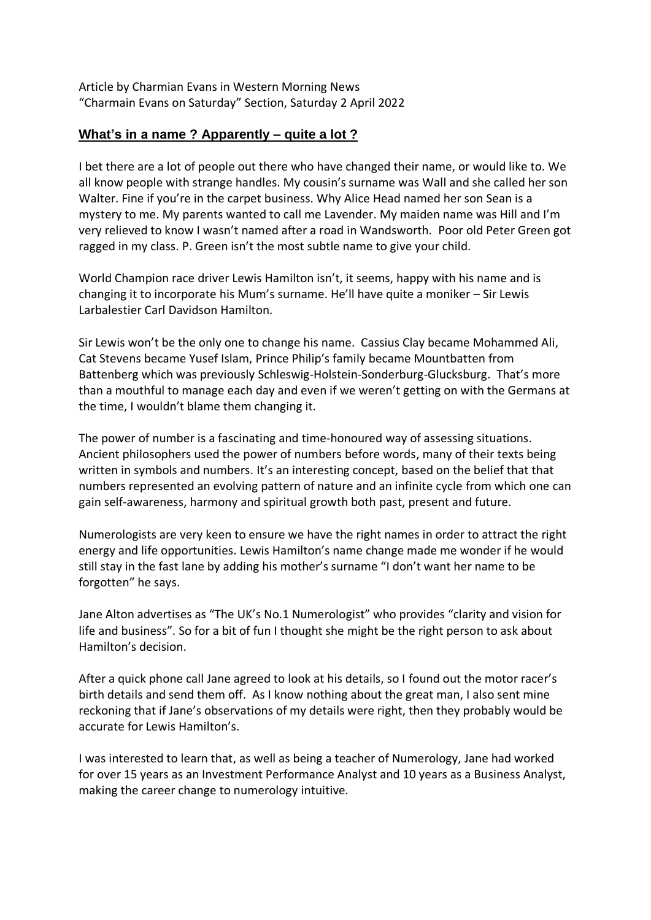Article by Charmian Evans in Western Morning News "Charmain Evans on Saturday" Section, Saturday 2 April 2022

## **What's in a name ? Apparently – quite a lot ?**

I bet there are a lot of people out there who have changed their name, or would like to. We all know people with strange handles. My cousin's surname was Wall and she called her son Walter. Fine if you're in the carpet business. Why Alice Head named her son Sean is a mystery to me. My parents wanted to call me Lavender. My maiden name was Hill and I'm very relieved to know I wasn't named after a road in Wandsworth. Poor old Peter Green got ragged in my class. P. Green isn't the most subtle name to give your child.

World Champion race driver Lewis Hamilton isn't, it seems, happy with his name and is changing it to incorporate his Mum's surname. He'll have quite a moniker – Sir Lewis Larbalestier Carl Davidson Hamilton.

Sir Lewis won't be the only one to change his name. Cassius Clay became Mohammed Ali, Cat Stevens became Yusef Islam, Prince Philip's family became Mountbatten from Battenberg which was previously Schleswig-Holstein-Sonderburg-Glucksburg. That's more than a mouthful to manage each day and even if we weren't getting on with the Germans at the time, I wouldn't blame them changing it.

The power of number is a fascinating and time-honoured way of assessing situations. Ancient philosophers used the power of numbers before words, many of their texts being written in symbols and numbers. It's an interesting concept, based on the belief that that numbers represented an evolving pattern of nature and an infinite cycle from which one can gain self-awareness, harmony and spiritual growth both past, present and future.

Numerologists are very keen to ensure we have the right names in order to attract the right energy and life opportunities. Lewis Hamilton's name change made me wonder if he would still stay in the fast lane by adding his mother's surname "I don't want her name to be forgotten" he says.

Jane Alton advertises as "The UK's No.1 Numerologist" who provides "clarity and vision for life and business". So for a bit of fun I thought she might be the right person to ask about Hamilton's decision.

After a quick phone call Jane agreed to look at his details, so I found out the motor racer's birth details and send them off. As I know nothing about the great man, I also sent mine reckoning that if Jane's observations of my details were right, then they probably would be accurate for Lewis Hamilton's.

I was interested to learn that, as well as being a teacher of Numerology, Jane had worked for over 15 years as an Investment Performance Analyst and 10 years as a Business Analyst, making the career change to numerology intuitive.